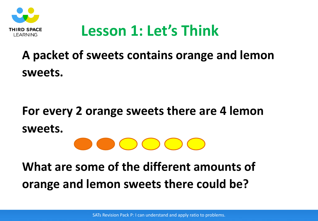

### **Lesson 1: Let's Think**

### **A packet of sweets contains orange and lemon sweets.**

# **For every 2 orange sweets there are 4 lemon sweets.**

### **What are some of the different amounts of orange and lemon sweets there could be?**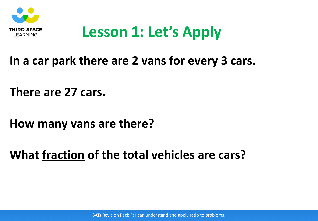

# **Lesson 1: Let's Apply**

#### **In a car park there are 2 vans for every 3 cars.**

**There are 27 cars.**

**How many vans are there?**

**What fraction of the total vehicles are cars?**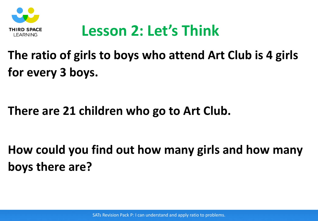

# **Lesson 2: Let's Think**

### **The ratio of girls to boys who attend Art Club is 4 girls for every 3 boys.**

#### **There are 21 children who go to Art Club.**

**How could you find out how many girls and how many boys there are?**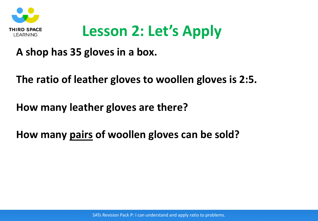

# **Lesson 2: Let's Apply**

#### **A shop has 35 gloves in a box.**

#### **The ratio of leather gloves to woollen gloves is 2:5.**

#### **How many leather gloves are there?**

#### **How many pairs of woollen gloves can be sold?**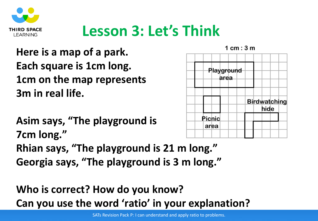

# **Lesson 3: Let's Think**

**Here is a map of a park. Each square is 1cm long. 1cm on the map represents 3m in real life.**

**Asim says, "The playground is**  Pichic area **7cm long." Rhian says, "The playground is 21 m long." Georgia says, "The playground is 3 m long."**

### **Who is correct? How do you know? Can you use the word 'ratio' in your explanation?**



SATs Revision Pack P: I can understand and apply ratio to problems.